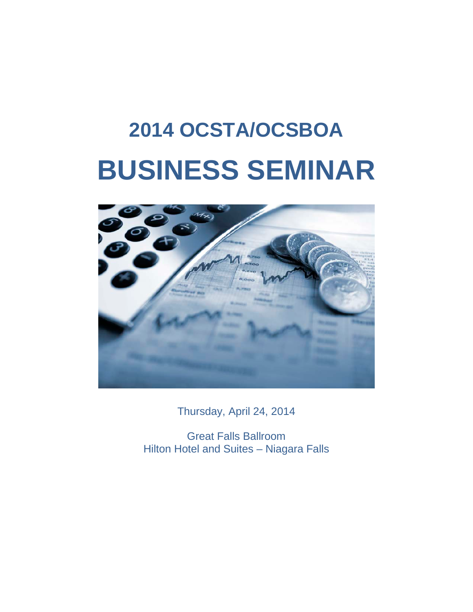## **2014 OCSTA/OCSBOA BUSINESS SEMINAR**



Thursday, April 24, 2014

Great Falls Ballroom Hilton Hotel and Suites – Niagara Falls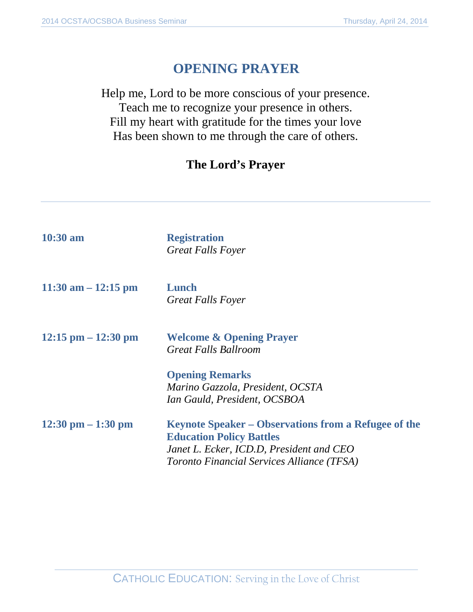## **OPENING PRAYER**

Help me, Lord to be more conscious of your presence. Teach me to recognize your presence in others. Fill my heart with gratitude for the times your love Has been shown to me through the care of others.

## **The Lord's Prayer**

| $10:30 \text{ am}$                   | <b>Registration</b><br><b>Great Falls Foyer</b>                                                                                                                                          |
|--------------------------------------|------------------------------------------------------------------------------------------------------------------------------------------------------------------------------------------|
| $11:30$ am $-12:15$ pm               | Lunch<br><b>Great Falls Foyer</b>                                                                                                                                                        |
| $12:15$ pm $-12:30$ pm               | <b>Welcome &amp; Opening Prayer</b><br><b>Great Falls Ballroom</b>                                                                                                                       |
|                                      | <b>Opening Remarks</b><br>Marino Gazzola, President, OCSTA<br>Ian Gauld, President, OCSBOA                                                                                               |
| $12:30 \text{ pm} - 1:30 \text{ pm}$ | <b>Keynote Speaker – Observations from a Refugee of the</b><br><b>Education Policy Battles</b><br>Janet L. Ecker, ICD.D, President and CEO<br>Toronto Financial Services Alliance (TFSA) |